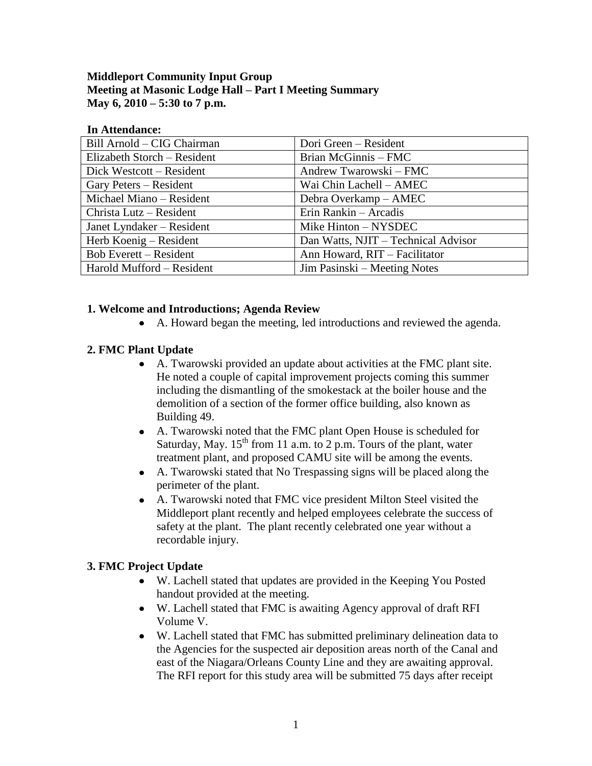#### **Middleport Community Input Group Meeting at Masonic Lodge Hall – Part I Meeting Summary May 6, 2010 – 5:30 to 7 p.m.**

#### **In Attendance:**

| Bill Arnold - CIG Chairman    | Dori Green – Resident               |
|-------------------------------|-------------------------------------|
| Elizabeth Storch – Resident   | Brian McGinnis - FMC                |
| Dick Westcott – Resident      | Andrew Twarowski – FMC              |
| Gary Peters – Resident        | Wai Chin Lachell - AMEC             |
| Michael Miano - Resident      | Debra Overkamp – AMEC               |
| Christa Lutz – Resident       | Erin Rankin - Arcadis               |
| Janet Lyndaker – Resident     | Mike Hinton – NYSDEC                |
| Herb Koenig – Resident        | Dan Watts, NJIT - Technical Advisor |
| <b>Bob Everett – Resident</b> | Ann Howard, RIT - Facilitator       |
| Harold Mufford - Resident     | Jim Pasinski – Meeting Notes        |

#### **1. Welcome and Introductions; Agenda Review**

A. Howard began the meeting, led introductions and reviewed the agenda.

## **2. FMC Plant Update**

- A. Twarowski provided an update about activities at the FMC plant site. He noted a couple of capital improvement projects coming this summer including the dismantling of the smokestack at the boiler house and the demolition of a section of the former office building, also known as Building 49.
- A. Twarowski noted that the FMC plant Open House is scheduled for  $\bullet$ Saturday, May.  $15<sup>th</sup>$  from 11 a.m. to 2 p.m. Tours of the plant, water treatment plant, and proposed CAMU site will be among the events.
- A. Twarowski stated that No Trespassing signs will be placed along the perimeter of the plant.
- A. Twarowski noted that FMC vice president Milton Steel visited the Middleport plant recently and helped employees celebrate the success of safety at the plant. The plant recently celebrated one year without a recordable injury.

## **3. FMC Project Update**

- W. Lachell stated that updates are provided in the Keeping You Posted handout provided at the meeting.
- W. Lachell stated that FMC is awaiting Agency approval of draft RFI Volume V.
- W. Lachell stated that FMC has submitted preliminary delineation data to the Agencies for the suspected air deposition areas north of the Canal and east of the Niagara/Orleans County Line and they are awaiting approval. The RFI report for this study area will be submitted 75 days after receipt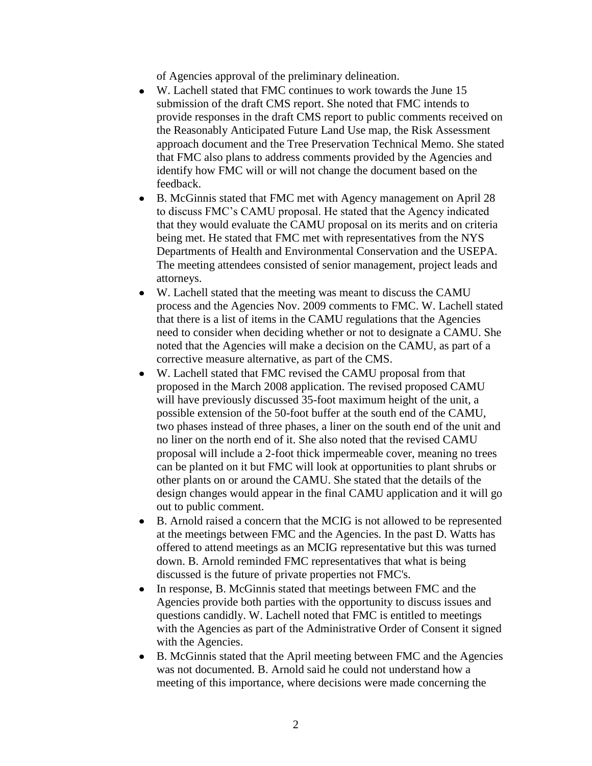of Agencies approval of the preliminary delineation.

- W. Lachell stated that FMC continues to work towards the June 15 submission of the draft CMS report. She noted that FMC intends to provide responses in the draft CMS report to public comments received on the Reasonably Anticipated Future Land Use map, the Risk Assessment approach document and the Tree Preservation Technical Memo. She stated that FMC also plans to address comments provided by the Agencies and identify how FMC will or will not change the document based on the feedback.
- B. McGinnis stated that FMC met with Agency management on April 28  $\bullet$ to discuss FMC's CAMU proposal. He stated that the Agency indicated that they would evaluate the CAMU proposal on its merits and on criteria being met. He stated that FMC met with representatives from the NYS Departments of Health and Environmental Conservation and the USEPA. The meeting attendees consisted of senior management, project leads and attorneys.
- W. Lachell stated that the meeting was meant to discuss the CAMU process and the Agencies Nov. 2009 comments to FMC. W. Lachell stated that there is a list of items in the CAMU regulations that the Agencies need to consider when deciding whether or not to designate a CAMU. She noted that the Agencies will make a decision on the CAMU, as part of a corrective measure alternative, as part of the CMS.
- W. Lachell stated that FMC revised the CAMU proposal from that proposed in the March 2008 application. The revised proposed CAMU will have previously discussed 35-foot maximum height of the unit, a possible extension of the 50-foot buffer at the south end of the CAMU, two phases instead of three phases, a liner on the south end of the unit and no liner on the north end of it. She also noted that the revised CAMU proposal will include a 2-foot thick impermeable cover, meaning no trees can be planted on it but FMC will look at opportunities to plant shrubs or other plants on or around the CAMU. She stated that the details of the design changes would appear in the final CAMU application and it will go out to public comment.
- B. Arnold raised a concern that the MCIG is not allowed to be represented at the meetings between FMC and the Agencies. In the past D. Watts has offered to attend meetings as an MCIG representative but this was turned down. B. Arnold reminded FMC representatives that what is being discussed is the future of private properties not FMC's.
- In response, B. McGinnis stated that meetings between FMC and the  $\bullet$ Agencies provide both parties with the opportunity to discuss issues and questions candidly. W. Lachell noted that FMC is entitled to meetings with the Agencies as part of the Administrative Order of Consent it signed with the Agencies.
- B. McGinnis stated that the April meeting between FMC and the Agencies  $\bullet$ was not documented. B. Arnold said he could not understand how a meeting of this importance, where decisions were made concerning the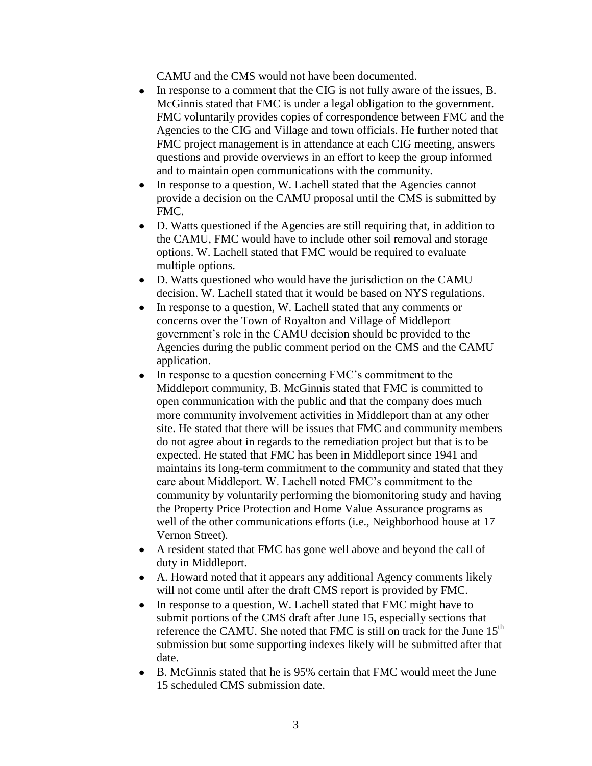CAMU and the CMS would not have been documented.

- In response to a comment that the CIG is not fully aware of the issues, B. McGinnis stated that FMC is under a legal obligation to the government. FMC voluntarily provides copies of correspondence between FMC and the Agencies to the CIG and Village and town officials. He further noted that FMC project management is in attendance at each CIG meeting, answers questions and provide overviews in an effort to keep the group informed and to maintain open communications with the community.
- In response to a question, W. Lachell stated that the Agencies cannot provide a decision on the CAMU proposal until the CMS is submitted by FMC.
- D. Watts questioned if the Agencies are still requiring that, in addition to  $\bullet$ the CAMU, FMC would have to include other soil removal and storage options. W. Lachell stated that FMC would be required to evaluate multiple options.
- D. Watts questioned who would have the jurisdiction on the CAMU decision. W. Lachell stated that it would be based on NYS regulations.
- $\bullet$ In response to a question, W. Lachell stated that any comments or concerns over the Town of Royalton and Village of Middleport government's role in the CAMU decision should be provided to the Agencies during the public comment period on the CMS and the CAMU application.
- In response to a question concerning FMC's commitment to the Middleport community, B. McGinnis stated that FMC is committed to open communication with the public and that the company does much more community involvement activities in Middleport than at any other site. He stated that there will be issues that FMC and community members do not agree about in regards to the remediation project but that is to be expected. He stated that FMC has been in Middleport since 1941 and maintains its long-term commitment to the community and stated that they care about Middleport. W. Lachell noted FMC's commitment to the community by voluntarily performing the biomonitoring study and having the Property Price Protection and Home Value Assurance programs as well of the other communications efforts (i.e., Neighborhood house at 17 Vernon Street).
- A resident stated that FMC has gone well above and beyond the call of duty in Middleport.
- $\bullet$ A. Howard noted that it appears any additional Agency comments likely will not come until after the draft CMS report is provided by FMC.
- In response to a question, W. Lachell stated that FMC might have to  $\bullet$ submit portions of the CMS draft after June 15, especially sections that reference the CAMU. She noted that FMC is still on track for the June 15<sup>th</sup> submission but some supporting indexes likely will be submitted after that date.
- B. McGinnis stated that he is 95% certain that FMC would meet the June  $\bullet$ 15 scheduled CMS submission date.